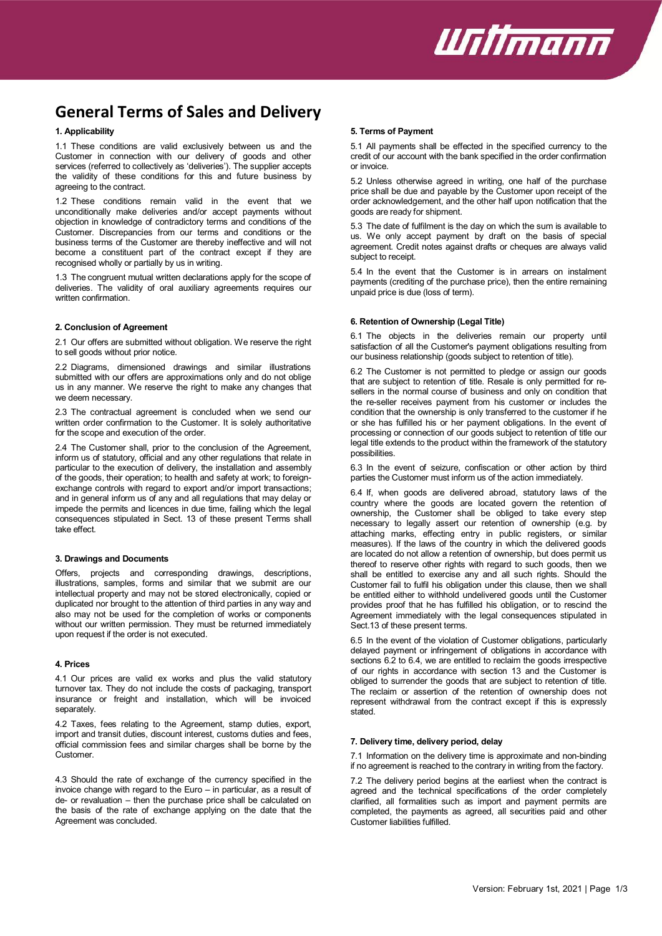

# **General Terms of Sales and Delivery**

## **1. Applicability**

1.1 These conditions are valid exclusively between us and the Customer in connection with our delivery of goods and other services (referred to collectively as 'deliveries'). The supplier accepts the validity of these conditions for this and future business by agreeing to the contract.

1.2 These conditions remain valid in the event that we unconditionally make deliveries and/or accept payments without objection in knowledge of contradictory terms and conditions of the Customer. Discrepancies from our terms and conditions or the business terms of the Customer are thereby ineffective and will not become a constituent part of the contract except if they are recognised wholly or partially by us in writing.

1.3 The congruent mutual written declarations apply for the scope of deliveries. The validity of oral auxiliary agreements requires our written confirmation.

#### **2. Conclusion of Agreement**

2.1 Our offers are submitted without obligation. We reserve the right to sell goods without prior notice.

2.2 Diagrams, dimensioned drawings and similar illustrations submitted with our offers are approximations only and do not oblige us in any manner. We reserve the right to make any changes that we deem necessary.

2.3 The contractual agreement is concluded when we send our written order confirmation to the Customer. It is solely authoritative for the scope and execution of the order.

2.4 The Customer shall, prior to the conclusion of the Agreement, inform us of statutory, official and any other regulations that relate in particular to the execution of delivery, the installation and assembly of the goods, their operation; to health and safety at work; to foreignexchange controls with regard to export and/or import transactions; and in general inform us of any and all regulations that may delay or impede the permits and licences in due time, failing which the legal consequences stipulated in Sect. 13 of these present Terms shall take effect.

#### **3. Drawings and Documents**

Offers, projects and corresponding drawings, descriptions, illustrations, samples, forms and similar that we submit are our intellectual property and may not be stored electronically, copied or duplicated nor brought to the attention of third parties in any way and also may not be used for the completion of works or components without our written permission. They must be returned immediately upon request if the order is not executed.

#### **4. Prices**

4.1 Our prices are valid ex works and plus the valid statutory turnover tax. They do not include the costs of packaging, transport insurance or freight and installation, which will be invoiced separately.

4.2 Taxes, fees relating to the Agreement, stamp duties, export, import and transit duties, discount interest, customs duties and fees, official commission fees and similar charges shall be borne by the Customer.

4.3 Should the rate of exchange of the currency specified in the invoice change with regard to the Euro – in particular, as a result of de- or revaluation – then the purchase price shall be calculated on the basis of the rate of exchange applying on the date that the Agreement was concluded.

## **5. Terms of Payment**

5.1 All payments shall be effected in the specified currency to the credit of our account with the bank specified in the order confirmation or invoice.

5.2 Unless otherwise agreed in writing, one half of the purchase price shall be due and payable by the Customer upon receipt of the order acknowledgement, and the other half upon notification that the goods are ready for shipment.

5.3 The date of fulfilment is the day on which the sum is available to us. We only accept payment by draft on the basis of special agreement. Credit notes against drafts or cheques are always valid subject to receipt.

5.4 In the event that the Customer is in arrears on instalment payments (crediting of the purchase price), then the entire remaining unpaid price is due (loss of term).

## **6. Retention of Ownership (Legal Title)**

6.1 The objects in the deliveries remain our property until satisfaction of all the Customer's payment obligations resulting from our business relationship (goods subject to retention of title).

6.2 The Customer is not permitted to pledge or assign our goods that are subject to retention of title. Resale is only permitted for resellers in the normal course of business and only on condition that the re-seller receives payment from his customer or includes the condition that the ownership is only transferred to the customer if he or she has fulfilled his or her payment obligations. In the event of processing or connection of our goods subject to retention of title our legal title extends to the product within the framework of the statutory possibilities.

6.3 In the event of seizure, confiscation or other action by third parties the Customer must inform us of the action immediately.

6.4 If, when goods are delivered abroad, statutory laws of the country where the goods are located govern the retention of ownership, the Customer shall be obliged to take every step necessary to legally assert our retention of ownership (e.g. by attaching marks, effecting entry in public registers, or similar measures). If the laws of the country in which the delivered goods are located do not allow a retention of ownership, but does permit us thereof to reserve other rights with regard to such goods, then we shall be entitled to exercise any and all such rights. Should the Customer fail to fulfil his obligation under this clause, then we shall be entitled either to withhold undelivered goods until the Customer provides proof that he has fulfilled his obligation, or to rescind the Agreement immediately with the legal consequences stipulated in Sect.13 of these present terms.

6.5 In the event of the violation of Customer obligations, particularly delayed payment or infringement of obligations in accordance with sections 6.2 to 6.4, we are entitled to reclaim the goods irrespective of our rights in accordance with section 13 and the Customer is obliged to surrender the goods that are subject to retention of title. The reclaim or assertion of the retention of ownership does not represent withdrawal from the contract except if this is expressly stated.

## **7. Delivery time, delivery period, delay**

7.1 Information on the delivery time is approximate and non-binding if no agreement is reached to the contrary in writing from the factory.

7.2 The delivery period begins at the earliest when the contract is agreed and the technical specifications of the order completely clarified, all formalities such as import and payment permits are completed, the payments as agreed, all securities paid and other Customer liabilities fulfilled.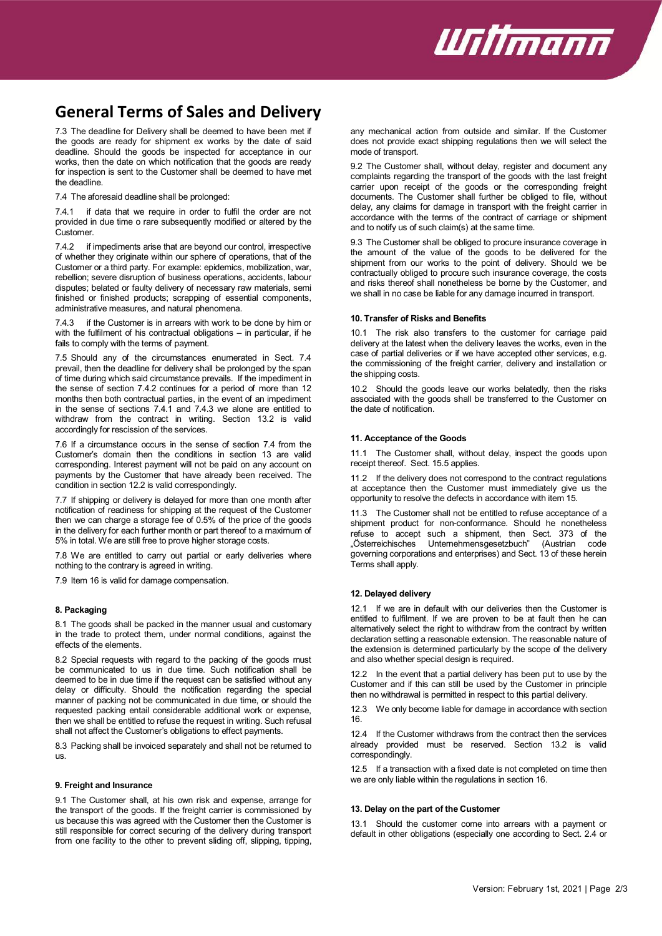

## **General Terms of Sales and Delivery**

7.3 The deadline for Delivery shall be deemed to have been met if the goods are ready for shipment ex works by the date of said deadline. Should the goods be inspected for acceptance in our works, then the date on which notification that the goods are ready for inspection is sent to the Customer shall be deemed to have met the deadline.

7.4 The aforesaid deadline shall be prolonged:

7.4.1 if data that we require in order to fulfil the order are not provided in due time o rare subsequently modified or altered by the Customer.

7.4.2 if impediments arise that are beyond our control, irrespective of whether they originate within our sphere of operations, that of the Customer or a third party. For example: epidemics, mobilization, war, rebellion; severe disruption of business operations, accidents, labour disputes; belated or faulty delivery of necessary raw materials, semi finished or finished products; scrapping of essential components, administrative measures, and natural phenomena.

7.4.3 if the Customer is in arrears with work to be done by him or with the fulfilment of his contractual obligations – in particular, if he fails to comply with the terms of payment.

7.5 Should any of the circumstances enumerated in Sect. 7.4 prevail, then the deadline for delivery shall be prolonged by the span of time during which said circumstance prevails. If the impediment in the sense of section 7.4.2 continues for a period of more than 12 months then both contractual parties, in the event of an impediment in the sense of sections 7.4.1 and 7.4.3 we alone are entitled to withdraw from the contract in writing. Section 13.2 is valid accordingly for rescission of the services.

7.6 If a circumstance occurs in the sense of section 7.4 from the Customer's domain then the conditions in section 13 are valid corresponding. Interest payment will not be paid on any account on payments by the Customer that have already been received. The condition in section 12.2 is valid correspondingly.

7.7 If shipping or delivery is delayed for more than one month after notification of readiness for shipping at the request of the Customer then we can charge a storage fee of 0.5% of the price of the goods in the delivery for each further month or part thereof to a maximum of 5% in total. We are still free to prove higher storage costs.

7.8 We are entitled to carry out partial or early deliveries where nothing to the contrary is agreed in writing.

7.9 Item 16 is valid for damage compensation.

## **8. Packaging**

8.1 The goods shall be packed in the manner usual and customary in the trade to protect them, under normal conditions, against the effects of the elements.

8.2 Special requests with regard to the packing of the goods must be communicated to us in due time. Such notification shall be deemed to be in due time if the request can be satisfied without any delay or difficulty. Should the notification regarding the special manner of packing not be communicated in due time, or should the requested packing entail considerable additional work or expense, then we shall be entitled to refuse the request in writing. Such refusal shall not affect the Customer's obligations to effect payments.

8.3 Packing shall be invoiced separately and shall not be returned to us.

#### **9. Freight and Insurance**

9.1 The Customer shall, at his own risk and expense, arrange for the transport of the goods. If the freight carrier is commissioned by us because this was agreed with the Customer then the Customer is still responsible for correct securing of the delivery during transport from one facility to the other to prevent sliding off, slipping, tipping,

any mechanical action from outside and similar. If the Customer does not provide exact shipping regulations then we will select the mode of transport.

9.2 The Customer shall, without delay, register and document any complaints regarding the transport of the goods with the last freight carrier upon receipt of the goods or the corresponding freight documents. The Customer shall further be obliged to file, without delay, any claims for damage in transport with the freight carrier in accordance with the terms of the contract of carriage or shipment and to notify us of such claim(s) at the same time.

9.3 The Customer shall be obliged to procure insurance coverage in the amount of the value of the goods to be delivered for the shipment from our works to the point of delivery. Should we be contractually obliged to procure such insurance coverage, the costs and risks thereof shall nonetheless be borne by the Customer, and we shall in no case be liable for any damage incurred in transport.

#### **10. Transfer of Risks and Benefits**

10.1 The risk also transfers to the customer for carriage paid delivery at the latest when the delivery leaves the works, even in the case of partial deliveries or if we have accepted other services, e.g. the commissioning of the freight carrier, delivery and installation or the shipping costs.

10.2 Should the goods leave our works belatedly, then the risks associated with the goods shall be transferred to the Customer on the date of notification.

#### **11. Acceptance of the Goods**

11.1 The Customer shall, without delay, inspect the goods upon receipt thereof. Sect. 15.5 applies.

11.2 If the delivery does not correspond to the contract regulations at acceptance then the Customer must immediately give us the opportunity to resolve the defects in accordance with item 15.

11.3 The Customer shall not be entitled to refuse acceptance of a shipment product for non-conformance. Should he nonetheless refuse to accept such a shipment, then Sect. 373 of the<br>"Österreichisches Unternehmensgesetzbuch" (Austrian code Unternehmensgesetzbuch" (Austrian code governing corporations and enterprises) and Sect. 13 of these herein Terms shall apply.

## **12. Delayed delivery**

12.1 If we are in default with our deliveries then the Customer is entitled to fulfilment. If we are proven to be at fault then he can alternatively select the right to withdraw from the contract by written declaration setting a reasonable extension. The reasonable nature of the extension is determined particularly by the scope of the delivery and also whether special design is required.

12.2 In the event that a partial delivery has been put to use by the Customer and if this can still be used by the Customer in principle then no withdrawal is permitted in respect to this partial delivery.

12.3 We only become liable for damage in accordance with section 16.

12.4 If the Customer withdraws from the contract then the services already provided must be reserved. Section 13.2 is valid correspondingly.

12.5 If a transaction with a fixed date is not completed on time then we are only liable within the regulations in section 16.

#### **13. Delay on the part of the Customer**

13.1 Should the customer come into arrears with a payment or default in other obligations (especially one according to Sect. 2.4 or